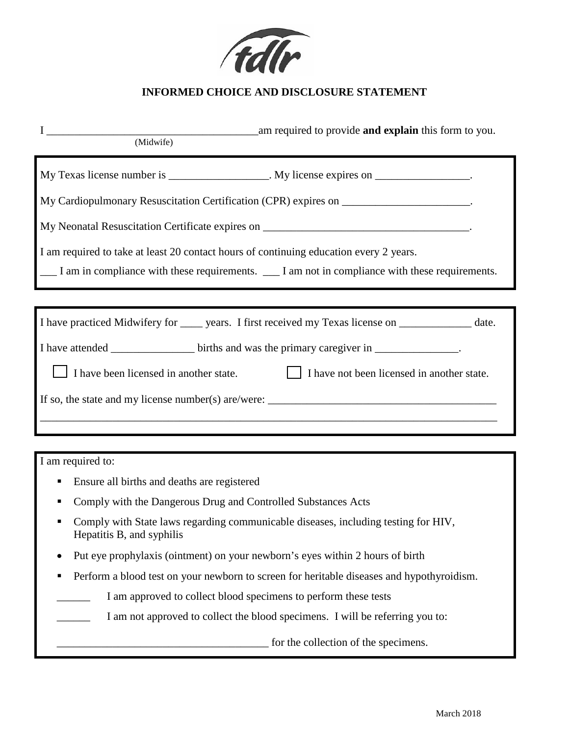

## **INFORMED CHOICE AND DISCLOSURE STATEMENT**

| am required to provide and explain this form to you.<br>$\mathbf{I}$<br>(Midwife)                                    |  |  |
|----------------------------------------------------------------------------------------------------------------------|--|--|
| My Texas license number is _________________. My license expires on ________________.                                |  |  |
| My Cardiopulmonary Resuscitation Certification (CPR) expires on _____________________.                               |  |  |
| My Neonatal Resuscitation Certificate expires on ________________________________                                    |  |  |
| I am required to take at least 20 contact hours of continuing education every 2 years.                               |  |  |
| I am in compliance with these requirements. I am not in compliance with these requirements.                          |  |  |
|                                                                                                                      |  |  |
| I have practiced Midwifery for ______ years. I first received my Texas license on _______________ date.              |  |  |
| I have attended ________________ births and was the primary caregiver in _______________.                            |  |  |
| I have been licensed in another state.<br>I have not been licensed in another state.                                 |  |  |
| If so, the state and my license number(s) are/were: $\frac{1}{\sqrt{1-\frac{1}{n}}}\left  \frac{f(x)}{g(x)} \right $ |  |  |
|                                                                                                                      |  |  |
|                                                                                                                      |  |  |
| I am required to:                                                                                                    |  |  |
| Ensure all births and deaths are registered                                                                          |  |  |
| Comply with the Dangerous Drug and Controlled Substances Acts                                                        |  |  |
| Comply with State laws regarding communicable diseases, including testing for HIV,<br>Hepatitis B, and syphilis      |  |  |
| Put eye prophylaxis (ointment) on your newborn's eyes within 2 hours of birth                                        |  |  |
| Perform a blood test on your newborn to screen for heritable diseases and hypothyroidism.<br>п                       |  |  |
| I am approved to collect blood specimens to perform these tests                                                      |  |  |

I am not approved to collect the blood specimens. I will be referring you to:

\_\_\_\_\_\_\_\_\_\_\_\_\_\_\_\_\_\_\_\_\_\_\_\_\_\_\_\_\_\_\_\_\_\_\_\_\_\_ for the collection of the specimens.